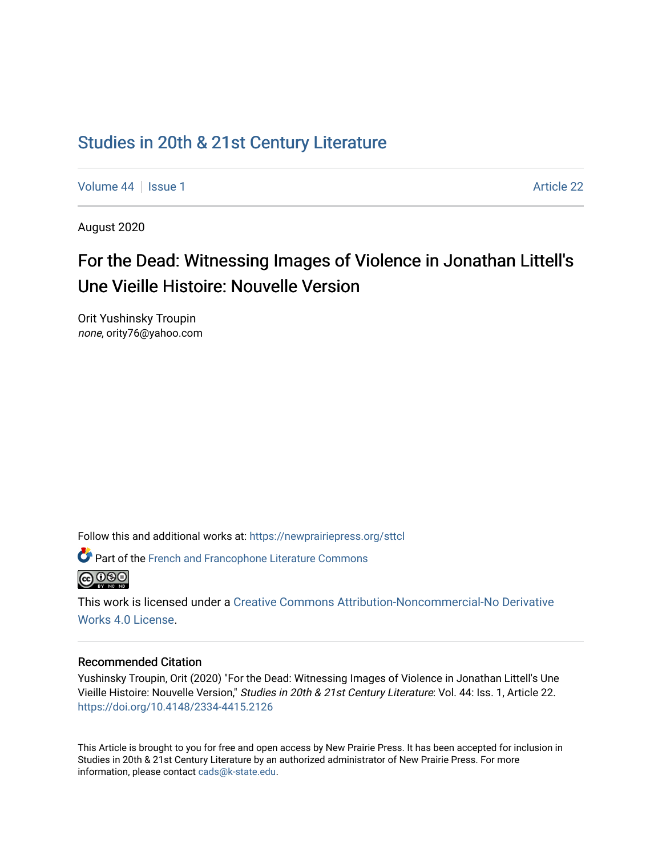## [Studies in 20th & 21st Century Literature](https://newprairiepress.org/sttcl)

[Volume 44](https://newprairiepress.org/sttcl/vol44) | [Issue 1](https://newprairiepress.org/sttcl/vol44/iss1) Article 22

August 2020

# For the Dead: Witnessing Images of Violence in Jonathan Littell's Une Vieille Histoire: Nouvelle Version

Orit Yushinsky Troupin none, ority76@yahoo.com

Follow this and additional works at: [https://newprairiepress.org/sttcl](https://newprairiepress.org/sttcl?utm_source=newprairiepress.org%2Fsttcl%2Fvol44%2Fiss1%2F22&utm_medium=PDF&utm_campaign=PDFCoverPages) 



Part of the [French and Francophone Literature Commons](http://network.bepress.com/hgg/discipline/465?utm_source=newprairiepress.org%2Fsttcl%2Fvol44%2Fiss1%2F22&utm_medium=PDF&utm_campaign=PDFCoverPages) 

This work is licensed under a [Creative Commons Attribution-Noncommercial-No Derivative](https://creativecommons.org/licenses/by-nc-nd/4.0/)  [Works 4.0 License](https://creativecommons.org/licenses/by-nc-nd/4.0/).

#### Recommended Citation

Yushinsky Troupin, Orit (2020) "For the Dead: Witnessing Images of Violence in Jonathan Littell's Une Vieille Histoire: Nouvelle Version," Studies in 20th & 21st Century Literature: Vol. 44: Iss. 1, Article 22. <https://doi.org/10.4148/2334-4415.2126>

This Article is brought to you for free and open access by New Prairie Press. It has been accepted for inclusion in Studies in 20th & 21st Century Literature by an authorized administrator of New Prairie Press. For more information, please contact [cads@k-state.edu](mailto:cads@k-state.edu).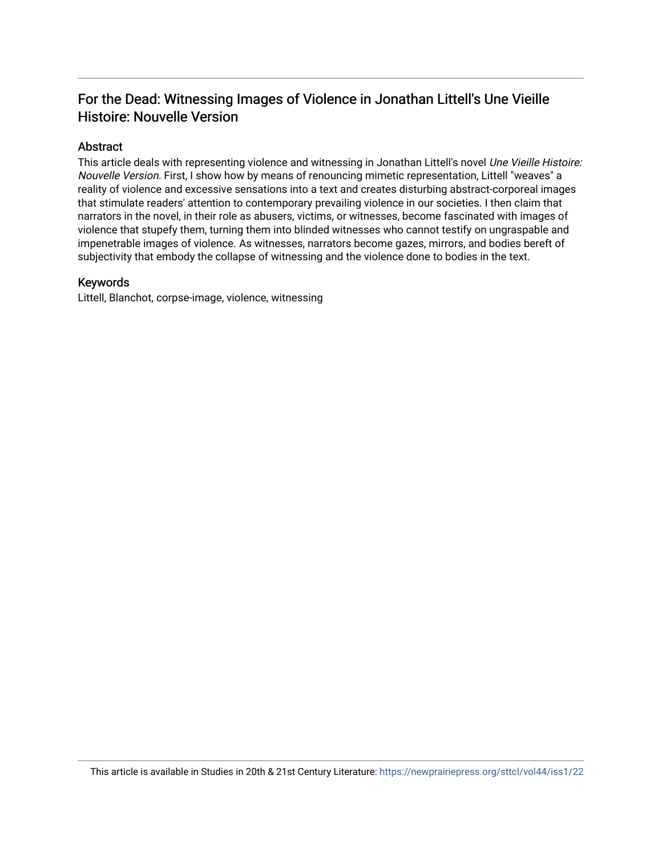### For the Dead: Witnessing Images of Violence in Jonathan Littell's Une Vieille Histoire: Nouvelle Version

#### Abstract

This article deals with representing violence and witnessing in Jonathan Littell's novel Une Vieille Histoire: Nouvelle Version. First, I show how by means of renouncing mimetic representation, Littell "weaves" a reality of violence and excessive sensations into a text and creates disturbing abstract-corporeal images that stimulate readers' attention to contemporary prevailing violence in our societies. I then claim that narrators in the novel, in their role as abusers, victims, or witnesses, become fascinated with images of violence that stupefy them, turning them into blinded witnesses who cannot testify on ungraspable and impenetrable images of violence. As witnesses, narrators become gazes, mirrors, and bodies bereft of subjectivity that embody the collapse of witnessing and the violence done to bodies in the text.

#### Keywords

Littell, Blanchot, corpse-image, violence, witnessing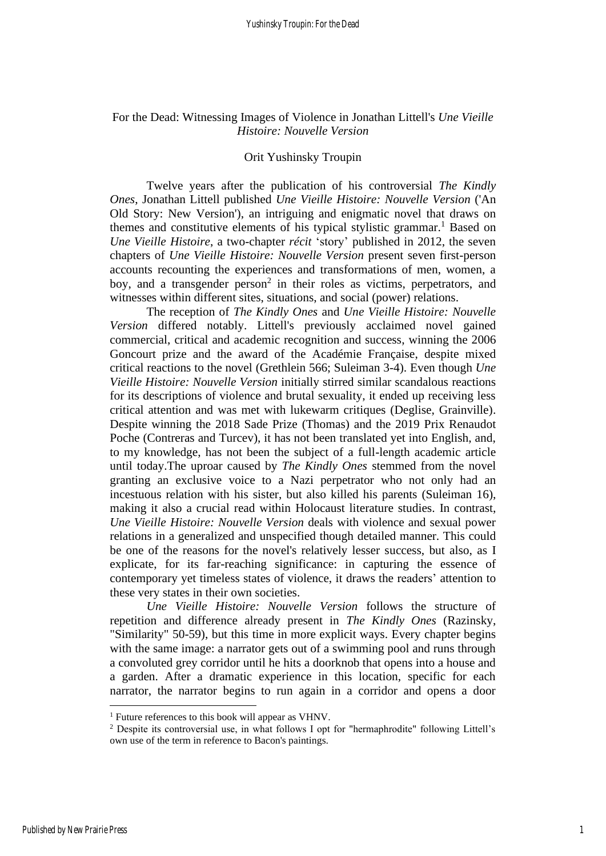#### For the Dead: Witnessing Images of Violence in Jonathan Littell's *Une Vieille Histoire: Nouvelle Version*

#### Orit Yushinsky Troupin

Twelve years after the publication of his controversial *The Kindly Ones*, Jonathan Littell published *Une Vieille Histoire: Nouvelle Version* ('An Old Story: New Version'), an intriguing and enigmatic novel that draws on themes and constitutive elements of his typical stylistic grammar.<sup>1</sup> Based on *Une Vieille Histoire*, a two-chapter *récit* 'story' published in 2012, the seven chapters of *Une Vieille Histoire: Nouvelle Version* present seven first-person accounts recounting the experiences and transformations of men, women, a boy, and a transgender person<sup>2</sup> in their roles as victims, perpetrators, and witnesses within different sites, situations, and social (power) relations.

The reception of *The Kindly Ones* and *Une Vieille Histoire: Nouvelle Version* differed notably. Littell's previously acclaimed novel gained commercial, critical and academic recognition and success, winning the 2006 Goncourt prize and the award of the Académie Française, despite mixed critical reactions to the novel (Grethlein 566; Suleiman 3-4). Even though *Une Vieille Histoire: Nouvelle Version* initially stirred similar scandalous reactions for its descriptions of violence and brutal sexuality, it ended up receiving less critical attention and was met with lukewarm critiques (Deglise, Grainville). Despite winning the 2018 Sade Prize (Thomas) and the 2019 Prix Renaudot Poche (Contreras and Turcev), it has not been translated yet into English, and, to my knowledge, has not been the subject of a full-length academic article until today.The uproar caused by *The Kindly Ones* stemmed from the novel granting an exclusive voice to a Nazi perpetrator who not only had an incestuous relation with his sister, but also killed his parents (Suleiman 16), making it also a crucial read within Holocaust literature studies. In contrast, *Une Vieille Histoire: Nouvelle Version* deals with violence and sexual power relations in a generalized and unspecified though detailed manner. This could be one of the reasons for the novel's relatively lesser success, but also, as I explicate, for its far-reaching significance: in capturing the essence of contemporary yet timeless states of violence, it draws the readers' attention to these very states in their own societies.

*Une Vieille Histoire: Nouvelle Version* follows the structure of repetition and difference already present in *The Kindly Ones* (Razinsky, "Similarity" 50-59), but this time in more explicit ways. Every chapter begins with the same image: a narrator gets out of a swimming pool and runs through a convoluted grey corridor until he hits a doorknob that opens into a house and a garden. After a dramatic experience in this location, specific for each narrator, the narrator begins to run again in a corridor and opens a door

<sup>&</sup>lt;sup>1</sup> Future references to this book will appear as VHNV.

<sup>&</sup>lt;sup>2</sup> Despite its controversial use, in what follows I opt for "hermaphrodite" following Littell's own use of the term in reference to Bacon's paintings.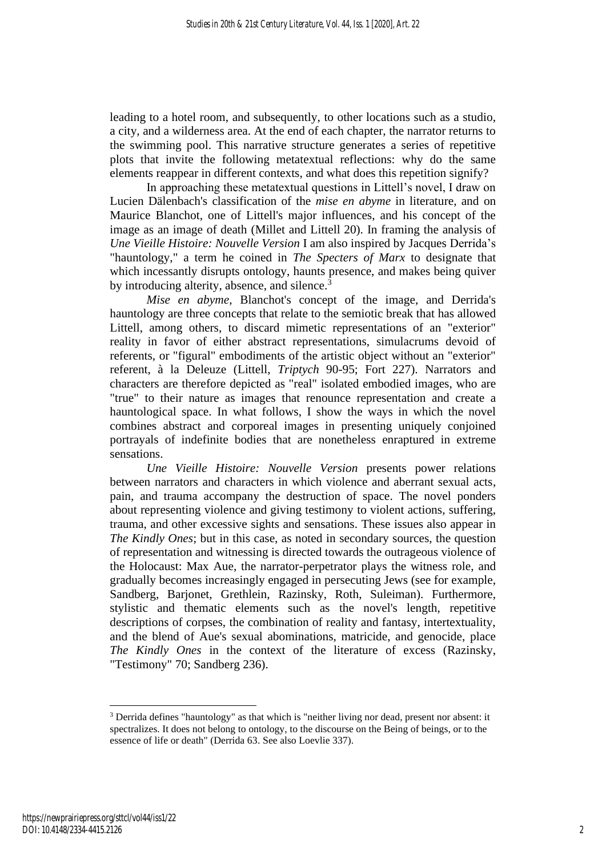leading to a hotel room, and subsequently, to other locations such as a studio, a city, and a wilderness area. At the end of each chapter, the narrator returns to the swimming pool. This narrative structure generates a series of repetitive plots that invite the following metatextual reflections: why do the same elements reappear in different contexts, and what does this repetition signify?

In approaching these metatextual questions in Littell's novel, I draw on Lucien Dälenbach's classification of the *mise en abyme* in literature, and on Maurice Blanchot, one of Littell's major influences, and his concept of the image as an image of death (Millet and Littell 20). In framing the analysis of *Une Vieille Histoire: Nouvelle Version* I am also inspired by Jacques Derrida's "hauntology," a term he coined in *The Specters of Marx* to designate that which incessantly disrupts ontology, haunts presence, and makes being quiver by introducing alterity, absence, and silence.<sup>3</sup>

*Mise en abyme*, Blanchot's concept of the image, and Derrida's hauntology are three concepts that relate to the semiotic break that has allowed Littell, among others, to discard mimetic representations of an "exterior" reality in favor of either abstract representations, simulacrums devoid of referents, or "figural" embodiments of the artistic object without an "exterior" referent, à la Deleuze (Littell, *Triptych* 90-95; Fort 227). Narrators and characters are therefore depicted as "real" isolated embodied images, who are "true" to their nature as images that renounce representation and create a hauntological space. In what follows, I show the ways in which the novel combines abstract and corporeal images in presenting uniquely conjoined portrayals of indefinite bodies that are nonetheless enraptured in extreme sensations.

*Une Vieille Histoire: Nouvelle Version* presents power relations between narrators and characters in which violence and aberrant sexual acts, pain, and trauma accompany the destruction of space. The novel ponders about representing violence and giving testimony to violent actions, suffering, trauma, and other excessive sights and sensations. These issues also appear in *The Kindly Ones*; but in this case, as noted in secondary sources, the question of representation and witnessing is directed towards the outrageous violence of the Holocaust: Max Aue, the narrator-perpetrator plays the witness role, and gradually becomes increasingly engaged in persecuting Jews (see for example, Sandberg, Barjonet, Grethlein, Razinsky, Roth, Suleiman). Furthermore, stylistic and thematic elements such as the novel's length, repetitive descriptions of corpses, the combination of reality and fantasy, intertextuality, and the blend of Aue's sexual abominations, matricide, and genocide, place *The Kindly Ones* in the context of the literature of excess (Razinsky, "Testimony" 70; Sandberg 236).

<sup>&</sup>lt;sup>3</sup> Derrida defines "hauntology" as that which is "neither living nor dead, present nor absent: it spectralizes. It does not belong to ontology, to the discourse on the Being of beings, or to the essence of life or death" (Derrida 63. See also Loevlie 337).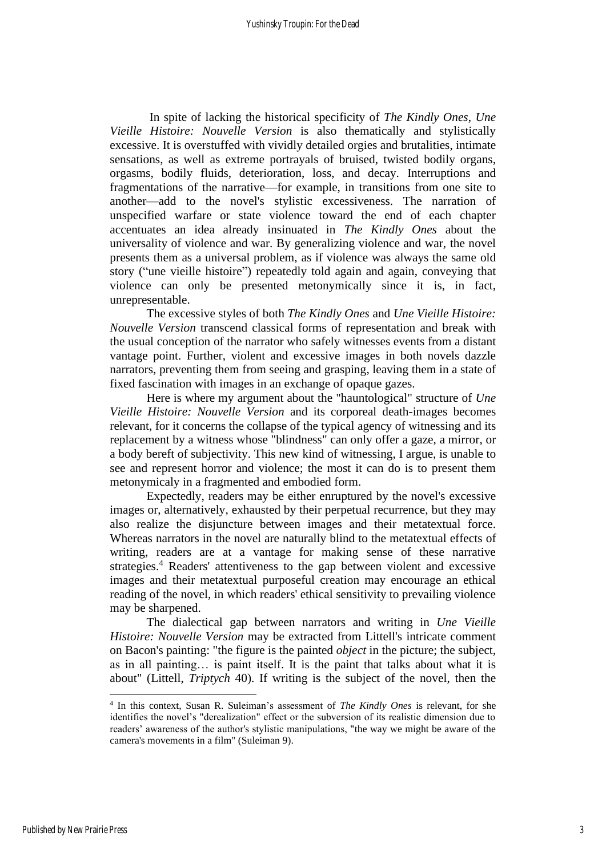In spite of lacking the historical specificity of *The Kindly Ones*, *Une Vieille Histoire: Nouvelle Version* is also thematically and stylistically excessive. It is overstuffed with vividly detailed orgies and brutalities, intimate sensations, as well as extreme portrayals of bruised, twisted bodily organs, orgasms, bodily fluids, deterioration, loss, and decay. Interruptions and fragmentations of the narrative—for example, in transitions from one site to another—add to the novel's stylistic excessiveness. The narration of unspecified warfare or state violence toward the end of each chapter accentuates an idea already insinuated in *The Kindly Ones* about the universality of violence and war. By generalizing violence and war, the novel presents them as a universal problem, as if violence was always the same old story ("une vieille histoire") repeatedly told again and again, conveying that violence can only be presented metonymically since it is, in fact, unrepresentable.

The excessive styles of both *The Kindly Ones* and *Une Vieille Histoire: Nouvelle Version* transcend classical forms of representation and break with the usual conception of the narrator who safely witnesses events from a distant vantage point. Further, violent and excessive images in both novels dazzle narrators, preventing them from seeing and grasping, leaving them in a state of fixed fascination with images in an exchange of opaque gazes.

Here is where my argument about the "hauntological" structure of *Une Vieille Histoire: Nouvelle Version* and its corporeal death-images becomes relevant, for it concerns the collapse of the typical agency of witnessing and its replacement by a witness whose "blindness" can only offer a gaze, a mirror, or a body bereft of subjectivity. This new kind of witnessing, I argue, is unable to see and represent horror and violence; the most it can do is to present them metonymicaly in a fragmented and embodied form.

Expectedly, readers may be either enruptured by the novel's excessive images or, alternatively, exhausted by their perpetual recurrence, but they may also realize the disjuncture between images and their metatextual force. Whereas narrators in the novel are naturally blind to the metatextual effects of writing, readers are at a vantage for making sense of these narrative strategies. <sup>4</sup> Readers' attentiveness to the gap between violent and excessive images and their metatextual purposeful creation may encourage an ethical reading of the novel, in which readers' ethical sensitivity to prevailing violence may be sharpened.

The dialectical gap between narrators and writing in *Une Vieille Histoire: Nouvelle Version* may be extracted from Littell's intricate comment on Bacon's painting: "the figure is the painted *object* in the picture; the subject, as in all painting… is paint itself. It is the paint that talks about what it is about" (Littell, *Triptych* 40). If writing is the subject of the novel, then the

<sup>4</sup> In this context, Susan R. Suleiman's assessment of *The Kindly Ones* is relevant, for she identifies the novel's "derealization" effect or the subversion of its realistic dimension due to readers' awareness of the author's stylistic manipulations, "the way we might be aware of the camera's movements in a film" (Suleiman 9).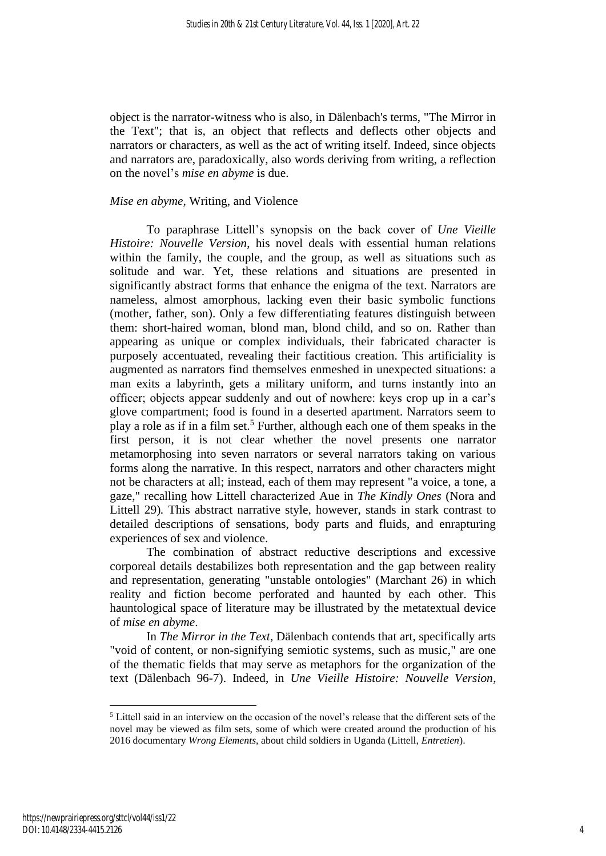object is the narrator-witness who is also, in Dälenbach's terms, "The Mirror in the Text"; that is, an object that reflects and deflects other objects and narrators or characters, as well as the act of writing itself. Indeed, since objects and narrators are, paradoxically, also words deriving from writing, a reflection on the novel's *mise en abyme* is due.

#### *Mise en abyme*, Writing, and Violence

To paraphrase Littell's synopsis on the back cover of *Une Vieille Histoire: Nouvelle Version*, his novel deals with essential human relations within the family, the couple, and the group, as well as situations such as solitude and war. Yet, these relations and situations are presented in significantly abstract forms that enhance the enigma of the text. Narrators are nameless, almost amorphous, lacking even their basic symbolic functions (mother, father, son). Only a few differentiating features distinguish between them: short-haired woman, blond man, blond child, and so on. Rather than appearing as unique or complex individuals, their fabricated character is purposely accentuated, revealing their factitious creation. This artificiality is augmented as narrators find themselves enmeshed in unexpected situations: a man exits a labyrinth, gets a military uniform, and turns instantly into an officer; objects appear suddenly and out of nowhere: keys crop up in a car's glove compartment; food is found in a deserted apartment. Narrators seem to play a role as if in a film set.<sup>5</sup> Further, although each one of them speaks in the first person, it is not clear whether the novel presents one narrator metamorphosing into seven narrators or several narrators taking on various forms along the narrative. In this respect, narrators and other characters might not be characters at all; instead, each of them may represent "a voice, a tone, a gaze," recalling how Littell characterized Aue in *The Kindly Ones* (Nora and Littell 29)*.* This abstract narrative style, however, stands in stark contrast to detailed descriptions of sensations, body parts and fluids, and enrapturing experiences of sex and violence.

The combination of abstract reductive descriptions and excessive corporeal details destabilizes both representation and the gap between reality and representation, generating "unstable ontologies" (Marchant 26) in which reality and fiction become perforated and haunted by each other. This hauntological space of literature may be illustrated by the metatextual device of *mise en abyme*.

In *The Mirror in the Text*, Dälenbach contends that art, specifically arts "void of content, or non-signifying semiotic systems, such as music," are one of the thematic fields that may serve as metaphors for the organization of the text (Dälenbach 96-7). Indeed, in *Une Vieille Histoire: Nouvelle Version*,

<sup>&</sup>lt;sup>5</sup> Littell said in an interview on the occasion of the novel's release that the different sets of the novel may be viewed as film sets, some of which were created around the production of his 2016 documentary *Wrong Elements*, about child soldiers in Uganda (Littell, *Entretien*).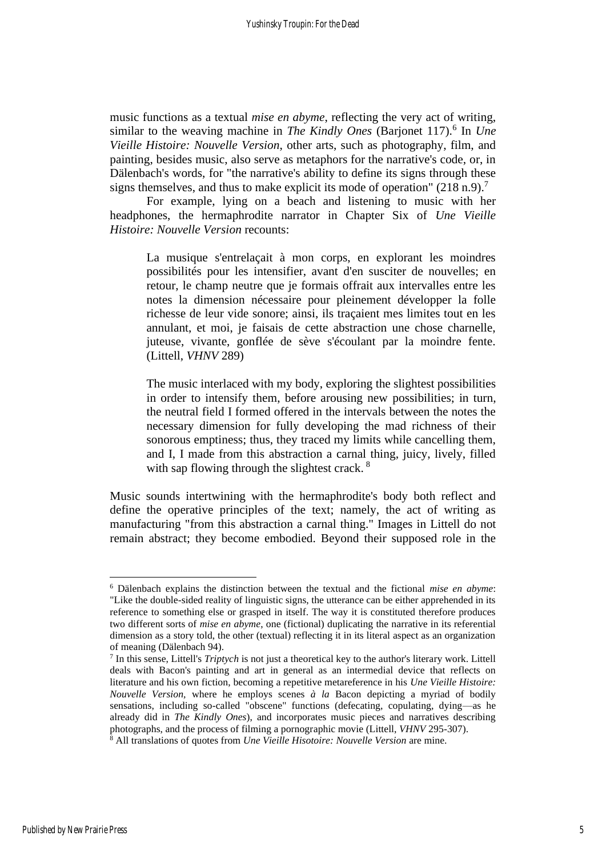music functions as a textual *mise en abyme*, reflecting the very act of writing, similar to the weaving machine in *The Kindly Ones* (Barjonet 117).<sup>6</sup> In *Une Vieille Histoire: Nouvelle Version*, other arts, such as photography, film, and painting, besides music, also serve as metaphors for the narrative's code, or, in Dälenbach's words, for "the narrative's ability to define its signs through these signs themselves, and thus to make explicit its mode of operation" (218 n.9).<sup>7</sup>

For example, lying on a beach and listening to music with her headphones, the hermaphrodite narrator in Chapter Six of *Une Vieille Histoire: Nouvelle Version* recounts:

La musique s'entrelaçait à mon corps, en explorant les moindres possibilités pour les intensifier, avant d'en susciter de nouvelles; en retour, le champ neutre que je formais offrait aux intervalles entre les notes la dimension nécessaire pour pleinement développer la folle richesse de leur vide sonore; ainsi, ils traçaient mes limites tout en les annulant, et moi, je faisais de cette abstraction une chose charnelle, juteuse, vivante, gonflée de sève s'écoulant par la moindre fente. (Littell, *VHNV* 289)

The music interlaced with my body, exploring the slightest possibilities in order to intensify them, before arousing new possibilities; in turn, the neutral field I formed offered in the intervals between the notes the necessary dimension for fully developing the mad richness of their sonorous emptiness; thus, they traced my limits while cancelling them, and I, I made from this abstraction a carnal thing, juicy, lively, filled with sap flowing through the slightest crack.<sup>8</sup>

Music sounds intertwining with the hermaphrodite's body both reflect and define the operative principles of the text; namely, the act of writing as manufacturing "from this abstraction a carnal thing." Images in Littell do not remain abstract; they become embodied. Beyond their supposed role in the

<sup>6</sup> Dälenbach explains the distinction between the textual and the fictional *mise en abyme*: "Like the double-sided reality of linguistic signs, the utterance can be either apprehended in its reference to something else or grasped in itself. The way it is constituted therefore produces two different sorts of *mise en abyme*, one (fictional) duplicating the narrative in its referential dimension as a story told, the other (textual) reflecting it in its literal aspect as an organization of meaning (Dälenbach 94).

<sup>7</sup> In this sense, Littell's *Triptych* is not just a theoretical key to the author's literary work. Littell deals with Bacon's painting and art in general as an intermedial device that reflects on literature and his own fiction, becoming a repetitive metareference in his *Une Vieille Histoire: Nouvelle Version,* where he employs scenes *à la* Bacon depicting a myriad of bodily sensations, including so-called "obscene" functions (defecating, copulating, dying—as he already did in *The Kindly Ones*), and incorporates music pieces and narratives describing photographs, and the process of filming a pornographic movie (Littell, *VHNV* 295-307).

<sup>8</sup> All translations of quotes from *Une Vieille Hisotoire: Nouvelle Version* are mine.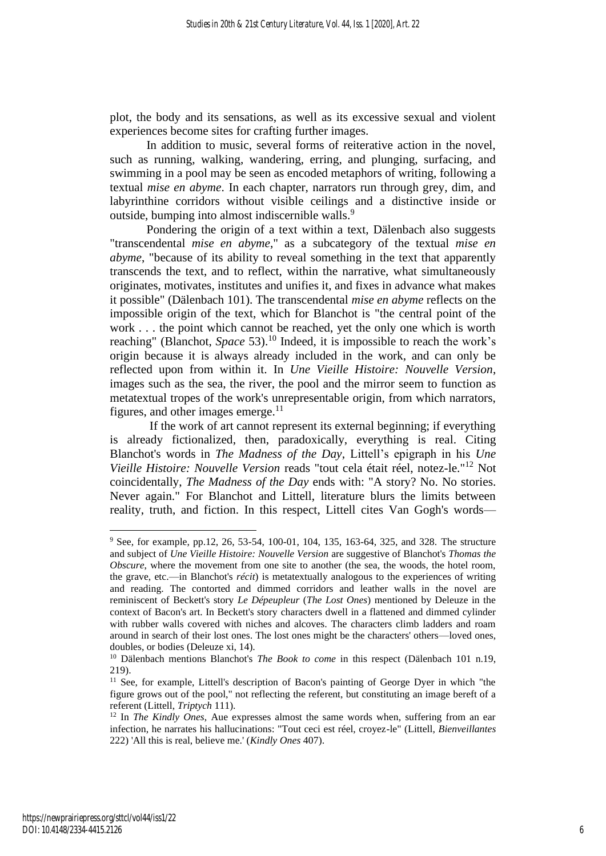plot, the body and its sensations, as well as its excessive sexual and violent experiences become sites for crafting further images.

In addition to music, several forms of reiterative action in the novel, such as running, walking, wandering, erring, and plunging, surfacing, and swimming in a pool may be seen as encoded metaphors of writing, following a textual *mise en abyme*. In each chapter, narrators run through grey, dim, and labyrinthine corridors without visible ceilings and a distinctive inside or outside, bumping into almost indiscernible walls.<sup>9</sup>

Pondering the origin of a text within a text, Dälenbach also suggests "transcendental *mise en abyme*," as a subcategory of the textual *mise en abyme*, "because of its ability to reveal something in the text that apparently transcends the text, and to reflect, within the narrative, what simultaneously originates, motivates, institutes and unifies it, and fixes in advance what makes it possible" (Dälenbach 101). The transcendental *mise en abyme* reflects on the impossible origin of the text, which for Blanchot is "the central point of the work . . . the point which cannot be reached, yet the only one which is worth reaching" (Blanchot, *Space* 53).<sup>10</sup> Indeed, it is impossible to reach the work's origin because it is always already included in the work, and can only be reflected upon from within it. In *Une Vieille Histoire: Nouvelle Version*, images such as the sea, the river, the pool and the mirror seem to function as metatextual tropes of the work's unrepresentable origin, from which narrators, figures, and other images emerge.<sup>11</sup>

If the work of art cannot represent its external beginning; if everything is already fictionalized, then, paradoxically, everything is real. Citing Blanchot's words in *The Madness of the Day*, Littell's epigraph in his *Une Vieille Histoire: Nouvelle Version* reads "tout cela était réel, notez-le." <sup>12</sup> Not coincidentally, *The Madness of the Day* ends with: "A story? No. No stories. Never again." For Blanchot and Littell, literature blurs the limits between reality, truth, and fiction. In this respect, Littell cites Van Gogh's words—

<sup>&</sup>lt;sup>9</sup> See, for example, pp.12, 26, 53-54, 100-01, 104, 135, 163-64, 325, and 328. The structure and subject of *Une Vieille Histoire: Nouvelle Version* are suggestive of Blanchot's *Thomas the Obscure*, where the movement from one site to another (the sea, the woods, the hotel room, the grave, etc.—in Blanchot's *récit*) is metatextually analogous to the experiences of writing and reading. The contorted and dimmed corridors and leather walls in the novel are reminiscent of Beckett's story *Le Dépeupleur* (*The Lost Ones*) mentioned by Deleuze in the context of Bacon's art. In Beckett's story characters dwell in a flattened and dimmed cylinder with rubber walls covered with niches and alcoves. The characters climb ladders and roam around in search of their lost ones. The lost ones might be the characters' others—loved ones, doubles, or bodies (Deleuze xi, 14).

<sup>&</sup>lt;sup>10</sup> Dälenbach mentions Blanchot's *The Book to come* in this respect (Dälenbach 101 n.19, 219).

<sup>&</sup>lt;sup>11</sup> See, for example, Littell's description of Bacon's painting of George Dyer in which "the figure grows out of the pool," not reflecting the referent, but constituting an image bereft of a referent (Littell, *Triptych* 111).

<sup>&</sup>lt;sup>12</sup> In *The Kindly Ones*, Aue expresses almost the same words when, suffering from an ear infection, he narrates his hallucinations: "Tout ceci est réel, croyez-le" (Littell, *Bienveillantes* 222) 'All this is real, believe me.' (*Kindly Ones* 407).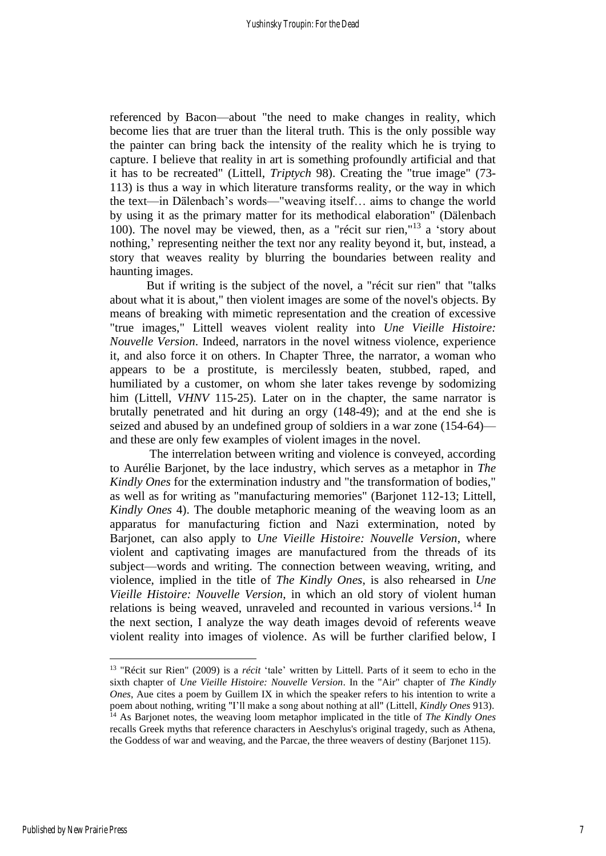referenced by Bacon—about "the need to make changes in reality, which become lies that are truer than the literal truth. This is the only possible way the painter can bring back the intensity of the reality which he is trying to capture. I believe that reality in art is something profoundly artificial and that it has to be recreated" (Littell, *Triptych* 98). Creating the "true image" (73- 113) is thus a way in which literature transforms reality, or the way in which the text—in Dälenbach's words—"weaving itself… aims to change the world by using it as the primary matter for its methodical elaboration" (Dälenbach 100). The novel may be viewed, then, as a "récit sur rien," <sup>13</sup> a 'story about nothing,' representing neither the text nor any reality beyond it, but, instead, a story that weaves reality by blurring the boundaries between reality and haunting images.

But if writing is the subject of the novel, a "récit sur rien" that "talks about what it is about," then violent images are some of the novel's objects. By means of breaking with mimetic representation and the creation of excessive "true images," Littell weaves violent reality into *Une Vieille Histoire: Nouvelle Version*. Indeed, narrators in the novel witness violence, experience it, and also force it on others. In Chapter Three, the narrator, a woman who appears to be a prostitute, is mercilessly beaten, stubbed, raped, and humiliated by a customer, on whom she later takes revenge by sodomizing him (Littell, *VHNV* 115-25). Later on in the chapter, the same narrator is brutally penetrated and hit during an orgy (148-49); and at the end she is seized and abused by an undefined group of soldiers in a war zone (154-64) and these are only few examples of violent images in the novel.

The interrelation between writing and violence is conveyed, according to Aurélie Barjonet, by the lace industry, which serves as a metaphor in *The Kindly Ones* for the extermination industry and "the transformation of bodies," as well as for writing as "manufacturing memories" (Barjonet 112-13; Littell, *Kindly Ones* 4). The double metaphoric meaning of the weaving loom as an apparatus for manufacturing fiction and Nazi extermination, noted by Barjonet, can also apply to *Une Vieille Histoire: Nouvelle Version*, where violent and captivating images are manufactured from the threads of its subject—words and writing. The connection between weaving, writing, and violence, implied in the title of *The Kindly Ones*, is also rehearsed in *Une Vieille Histoire: Nouvelle Version*, in which an old story of violent human relations is being weaved, unraveled and recounted in various versions.<sup>14</sup> In the next section, I analyze the way death images devoid of referents weave violent reality into images of violence. As will be further clarified below, I

<sup>13</sup> "Récit sur Rien" (2009) is a *récit* 'tale' written by Littell. Parts of it seem to echo in the sixth chapter of *Une Vieille Histoire: Nouvelle Version*. In the "Air" chapter of *The Kindly Ones*, Aue cites a poem by Guillem IX in which the speaker refers to his intention to write a poem about nothing, writing "I'll make a song about nothing at all" (Littell, *Kindly Ones* 913). <sup>14</sup> As Barjonet notes, the weaving loom metaphor implicated in the title of *The Kindly Ones*  recalls Greek myths that reference characters in Aeschylus's original tragedy, such as Athena, the Goddess of war and weaving, and the Parcae, the three weavers of destiny (Barjonet 115).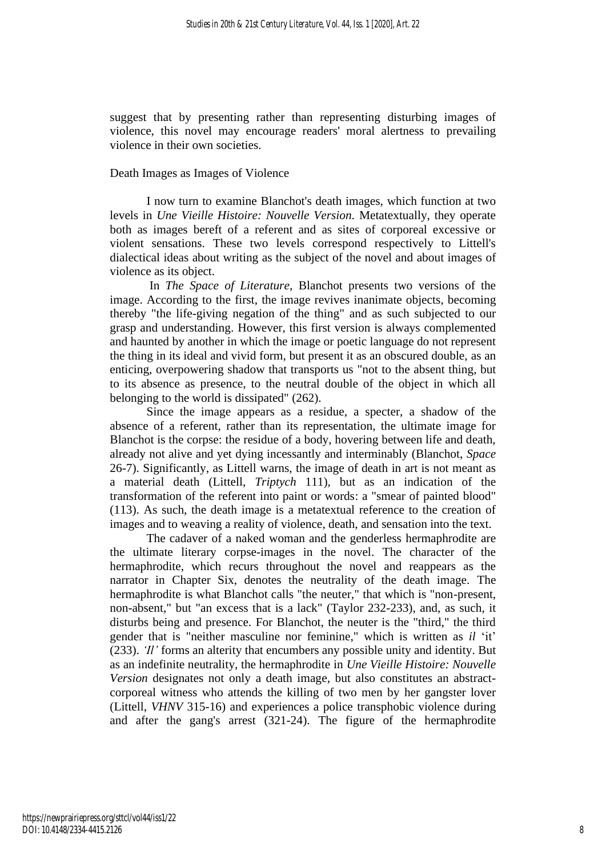suggest that by presenting rather than representing disturbing images of violence, this novel may encourage readers' moral alertness to prevailing violence in their own societies.

#### Death Images as Images of Violence

I now turn to examine Blanchot's death images, which function at two levels in *Une Vieille Histoire: Nouvelle Version.* Metatextually, they operate both as images bereft of a referent and as sites of corporeal excessive or violent sensations. These two levels correspond respectively to Littell's dialectical ideas about writing as the subject of the novel and about images of violence as its object.

In *The Space of Literature*, Blanchot presents two versions of the image. According to the first, the image revives inanimate objects, becoming thereby "the life-giving negation of the thing" and as such subjected to our grasp and understanding. However, this first version is always complemented and haunted by another in which the image or poetic language do not represent the thing in its ideal and vivid form, but present it as an obscured double, as an enticing, overpowering shadow that transports us "not to the absent thing, but to its absence as presence, to the neutral double of the object in which all belonging to the world is dissipated" (262).

Since the image appears as a residue, a specter, a shadow of the absence of a referent, rather than its representation, the ultimate image for Blanchot is the corpse: the residue of a body, hovering between life and death, already not alive and yet dying incessantly and interminably (Blanchot, *Space* 26-7). Significantly, as Littell warns, the image of death in art is not meant as a material death (Littell, *Triptych* 111), but as an indication of the transformation of the referent into paint or words: a "smear of painted blood" (113). As such, the death image is a metatextual reference to the creation of images and to weaving a reality of violence, death, and sensation into the text.

The cadaver of a naked woman and the genderless hermaphrodite are the ultimate literary corpse-images in the novel. The character of the hermaphrodite, which recurs throughout the novel and reappears as the narrator in Chapter Six, denotes the neutrality of the death image. The hermaphrodite is what Blanchot calls "the neuter," that which is "non-present, non-absent," but "an excess that is a lack" (Taylor 232-233), and, as such, it disturbs being and presence. For Blanchot, the neuter is the "third," the third gender that is "neither masculine nor feminine," which is written as *il* 'it' (233). *'Il'* forms an alterity that encumbers any possible unity and identity. But as an indefinite neutrality, the hermaphrodite in *Une Vieille Histoire: Nouvelle Version* designates not only a death image, but also constitutes an abstractcorporeal witness who attends the killing of two men by her gangster lover (Littell, *VHNV* 315-16) and experiences a police transphobic violence during and after the gang's arrest (321-24). The figure of the hermaphrodite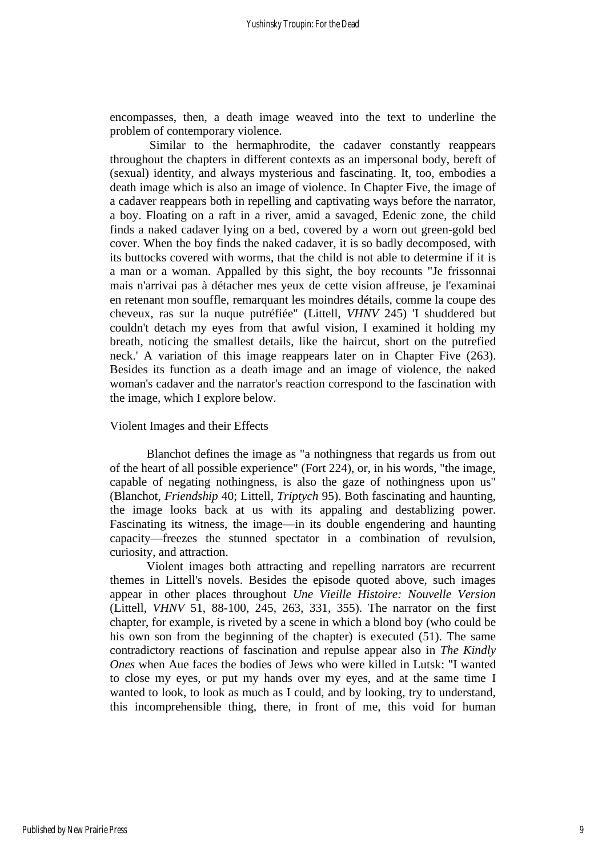encompasses, then, a death image weaved into the text to underline the problem of contemporary violence.

Similar to the hermaphrodite, the cadaver constantly reappears throughout the chapters in different contexts as an impersonal body, bereft of (sexual) identity, and always mysterious and fascinating. It, too, embodies a death image which is also an image of violence. In Chapter Five, the image of a cadaver reappears both in repelling and captivating ways before the narrator, a boy. Floating on a raft in a river, amid a savaged, Edenic zone, the child finds a naked cadaver lying on a bed, covered by a worn out green-gold bed cover. When the boy finds the naked cadaver, it is so badly decomposed, with its buttocks covered with worms, that the child is not able to determine if it is a man or a woman. Appalled by this sight, the boy recounts "Je frissonnai mais n'arrivai pas à détacher mes yeux de cette vision affreuse, je l'examinai en retenant mon souffle, remarquant les moindres détails, comme la coupe des cheveux, ras sur la nuque putréfiée" (Littell, *VHNV* 245) 'I shuddered but couldn't detach my eyes from that awful vision, I examined it holding my breath, noticing the smallest details, like the haircut, short on the putrefied neck.' A variation of this image reappears later on in Chapter Five (263). Besides its function as a death image and an image of violence, the naked woman's cadaver and the narrator's reaction correspond to the fascination with the image, which I explore below.

#### Violent Images and their Effects

Blanchot defines the image as "a nothingness that regards us from out of the heart of all possible experience" (Fort 224), or, in his words, "the image, capable of negating nothingness, is also the gaze of nothingness upon us" (Blanchot, *Friendship* 40; Littell, *Triptych* 95). Both fascinating and haunting, the image looks back at us with its appaling and destablizing power. Fascinating its witness, the image—in its double engendering and haunting capacity—freezes the stunned spectator in a combination of revulsion, curiosity, and attraction.

Violent images both attracting and repelling narrators are recurrent themes in Littell's novels. Besides the episode quoted above, such images appear in other places throughout *Une Vieille Histoire: Nouvelle Version* (Littell, *VHNV* 51, 88-100, 245, 263, 331, 355). The narrator on the first chapter, for example, is riveted by a scene in which a blond boy (who could be his own son from the beginning of the chapter) is executed (51). The same contradictory reactions of fascination and repulse appear also in *The Kindly Ones* when Aue faces the bodies of Jews who were killed in Lutsk: "I wanted to close my eyes, or put my hands over my eyes, and at the same time I wanted to look, to look as much as I could, and by looking, try to understand, this incomprehensible thing, there, in front of me, this void for human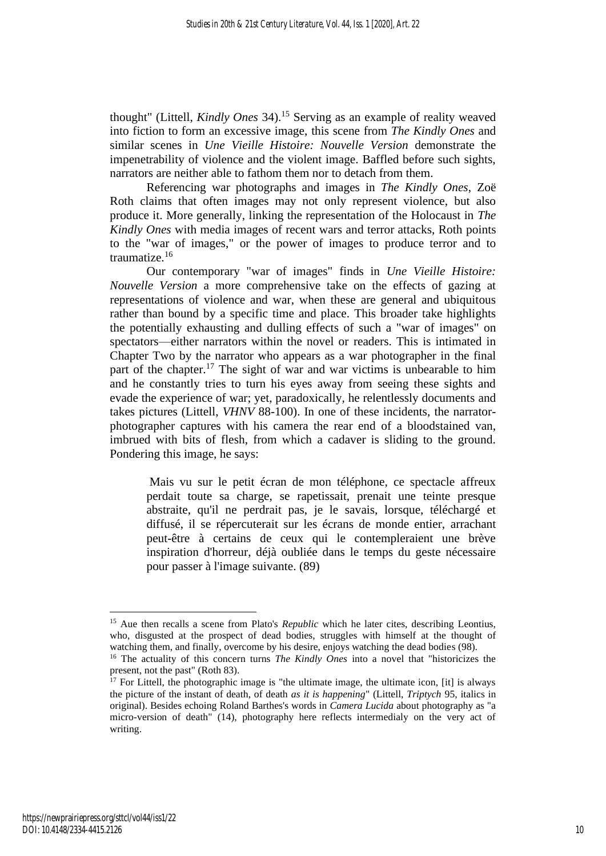thought" (Littell, *Kindly Ones* 34). <sup>15</sup> Serving as an example of reality weaved into fiction to form an excessive image, this scene from *The Kindly Ones* and similar scenes in *Une Vieille Histoire: Nouvelle Version* demonstrate the impenetrability of violence and the violent image. Baffled before such sights, narrators are neither able to fathom them nor to detach from them.

Referencing war photographs and images in *The Kindly Ones*, Zoë Roth claims that often images may not only represent violence, but also produce it. More generally, linking the representation of the Holocaust in *The Kindly Ones* with media images of recent wars and terror attacks, Roth points to the "war of images," or the power of images to produce terror and to traumatize.<sup>16</sup>

Our contemporary "war of images" finds in *Une Vieille Histoire: Nouvelle Version* a more comprehensive take on the effects of gazing at representations of violence and war, when these are general and ubiquitous rather than bound by a specific time and place. This broader take highlights the potentially exhausting and dulling effects of such a "war of images" on spectators—either narrators within the novel or readers. This is intimated in Chapter Two by the narrator who appears as a war photographer in the final part of the chapter.<sup>17</sup> The sight of war and war victims is unbearable to him and he constantly tries to turn his eyes away from seeing these sights and evade the experience of war; yet, paradoxically, he relentlessly documents and takes pictures (Littell, *VHNV* 88-100). In one of these incidents, the narratorphotographer captures with his camera the rear end of a bloodstained van, imbrued with bits of flesh, from which a cadaver is sliding to the ground. Pondering this image, he says:

Mais vu sur le petit écran de mon téléphone, ce spectacle affreux perdait toute sa charge, se rapetissait, prenait une teinte presque abstraite, qu'il ne perdrait pas, je le savais, lorsque, téléchargé et diffusé, il se répercuterait sur les écrans de monde entier, arrachant peut-être à certains de ceux qui le contempleraient une brève inspiration d'horreur, déjà oubliée dans le temps du geste nécessaire pour passer à l'image suivante. (89)

<sup>&</sup>lt;sup>15</sup> Aue then recalls a scene from Plato's *Republic* which he later cites, describing Leontius, who, disgusted at the prospect of dead bodies, struggles with himself at the thought of watching them, and finally, overcome by his desire, enjoys watching the dead bodies (98).

<sup>&</sup>lt;sup>16</sup> The actuality of this concern turns *The Kindly Ones* into a novel that "historicizes the present, not the past" (Roth 83).

 $17$  For Littell, the photographic image is "the ultimate image, the ultimate icon, [it] is always the picture of the instant of death, of death *as it is happening*" (Littell, *Triptych* 95, italics in original). Besides echoing Roland Barthes's words in *Camera Lucida* about photography as "a micro-version of death" (14), photography here reflects intermedialy on the very act of writing.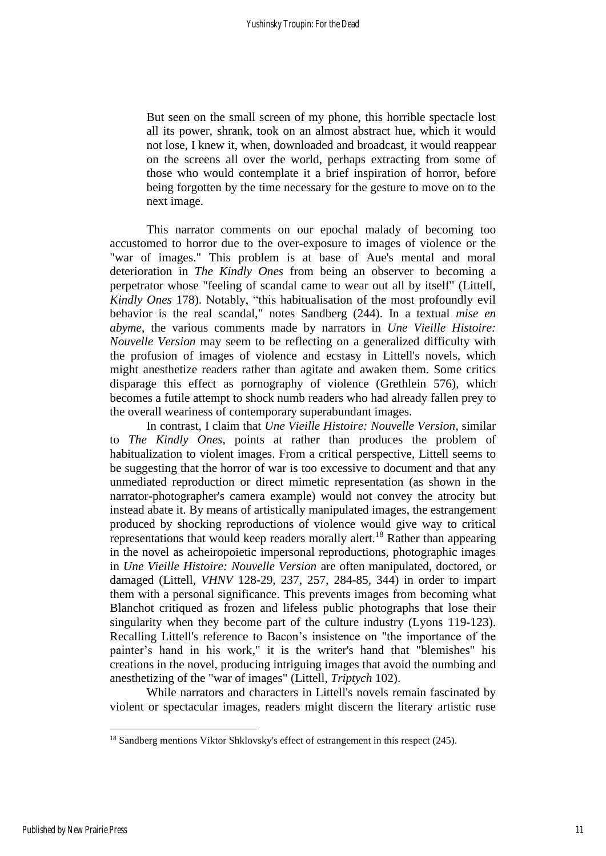But seen on the small screen of my phone, this horrible spectacle lost all its power, shrank, took on an almost abstract hue, which it would not lose, I knew it, when, downloaded and broadcast, it would reappear on the screens all over the world, perhaps extracting from some of those who would contemplate it a brief inspiration of horror, before being forgotten by the time necessary for the gesture to move on to the next image.

This narrator comments on our epochal malady of becoming too accustomed to horror due to the over-exposure to images of violence or the "war of images." This problem is at base of Aue's mental and moral deterioration in *The Kindly Ones* from being an observer to becoming a perpetrator whose "feeling of scandal came to wear out all by itself" (Littell, *Kindly Ones* 178). Notably, "this habitualisation of the most profoundly evil behavior is the real scandal," notes Sandberg (244). In a textual *mise en abyme*, the various comments made by narrators in *Une Vieille Histoire: Nouvelle Version* may seem to be reflecting on a generalized difficulty with the profusion of images of violence and ecstasy in Littell's novels, which might anesthetize readers rather than agitate and awaken them. Some critics disparage this effect as pornography of violence (Grethlein 576), which becomes a futile attempt to shock numb readers who had already fallen prey to the overall weariness of contemporary superabundant images.

In contrast, I claim that *Une Vieille Histoire: Nouvelle Version*, similar to *The Kindly Ones*, points at rather than produces the problem of habitualization to violent images. From a critical perspective, Littell seems to be suggesting that the horror of war is too excessive to document and that any unmediated reproduction or direct mimetic representation (as shown in the narrator-photographer's camera example) would not convey the atrocity but instead abate it. By means of artistically manipulated images, the estrangement produced by shocking reproductions of violence would give way to critical representations that would keep readers morally alert.<sup>18</sup> Rather than appearing in the novel as acheiropoietic impersonal reproductions, photographic images in *Une Vieille Histoire: Nouvelle Version* are often manipulated, doctored, or damaged (Littell, *VHNV* 128-29, 237, 257, 284-85, 344) in order to impart them with a personal significance. This prevents images from becoming what Blanchot critiqued as frozen and lifeless public photographs that lose their singularity when they become part of the culture industry (Lyons 119-123). Recalling Littell's reference to Bacon's insistence on "the importance of the painter's hand in his work," it is the writer's hand that "blemishes" his creations in the novel, producing intriguing images that avoid the numbing and anesthetizing of the "war of images" (Littell, *Triptych* 102).

While narrators and characters in Littell's novels remain fascinated by violent or spectacular images, readers might discern the literary artistic ruse

<sup>&</sup>lt;sup>18</sup> Sandberg mentions Viktor Shklovsky's effect of estrangement in this respect (245).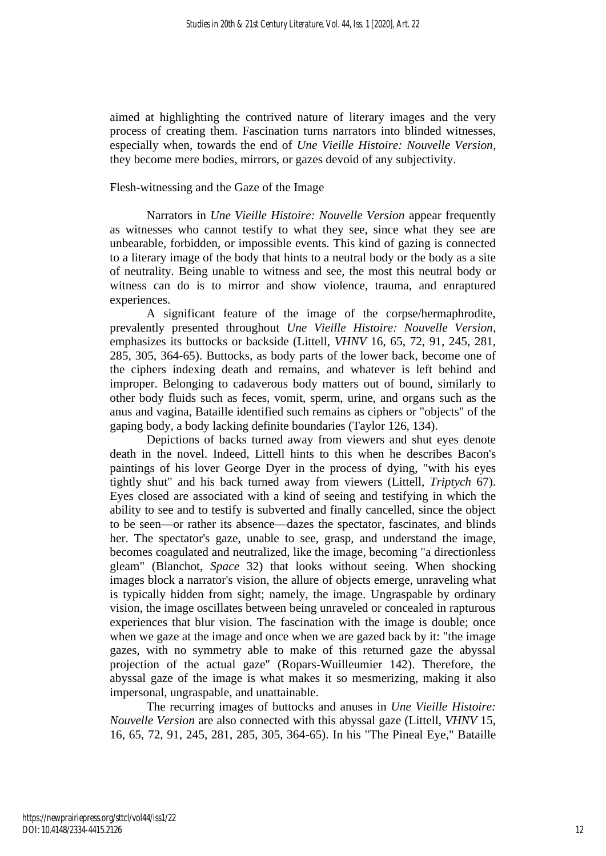aimed at highlighting the contrived nature of literary images and the very process of creating them. Fascination turns narrators into blinded witnesses, especially when, towards the end of *Une Vieille Histoire: Nouvelle Version*, they become mere bodies, mirrors, or gazes devoid of any subjectivity.

#### Flesh-witnessing and the Gaze of the Image

Narrators in *Une Vieille Histoire: Nouvelle Version* appear frequently as witnesses who cannot testify to what they see, since what they see are unbearable, forbidden, or impossible events. This kind of gazing is connected to a literary image of the body that hints to a neutral body or the body as a site of neutrality. Being unable to witness and see, the most this neutral body or witness can do is to mirror and show violence, trauma, and enraptured experiences.

A significant feature of the image of the corpse/hermaphrodite, prevalently presented throughout *Une Vieille Histoire: Nouvelle Version*, emphasizes its buttocks or backside (Littell, *VHNV* 16, 65, 72, 91, 245, 281, 285, 305, 364-65). Buttocks, as body parts of the lower back, become one of the ciphers indexing death and remains, and whatever is left behind and improper. Belonging to cadaverous body matters out of bound, similarly to other body fluids such as feces, vomit, sperm, urine, and organs such as the anus and vagina, Bataille identified such remains as ciphers or "objects" of the gaping body, a body lacking definite boundaries (Taylor 126, 134).

Depictions of backs turned away from viewers and shut eyes denote death in the novel. Indeed, Littell hints to this when he describes Bacon's paintings of his lover George Dyer in the process of dying, "with his eyes tightly shut" and his back turned away from viewers (Littell, *Triptych* 67). Eyes closed are associated with a kind of seeing and testifying in which the ability to see and to testify is subverted and finally cancelled, since the object to be seen—or rather its absence—dazes the spectator, fascinates, and blinds her. The spectator's gaze, unable to see, grasp, and understand the image, becomes coagulated and neutralized, like the image, becoming "a directionless gleam" (Blanchot, *Space* 32) that looks without seeing. When shocking images block a narrator's vision, the allure of objects emerge, unraveling what is typically hidden from sight; namely, the image. Ungraspable by ordinary vision, the image oscillates between being unraveled or concealed in rapturous experiences that blur vision. The fascination with the image is double; once when we gaze at the image and once when we are gazed back by it: "the image gazes, with no symmetry able to make of this returned gaze the abyssal projection of the actual gaze" (Ropars-Wuilleumier 142). Therefore, the abyssal gaze of the image is what makes it so mesmerizing, making it also impersonal, ungraspable, and unattainable.

The recurring images of buttocks and anuses in *Une Vieille Histoire: Nouvelle Version* are also connected with this abyssal gaze (Littell, *VHNV* 15, 16, 65, 72, 91, 245, 281, 285, 305, 364-65). In his "The Pineal Eye," Bataille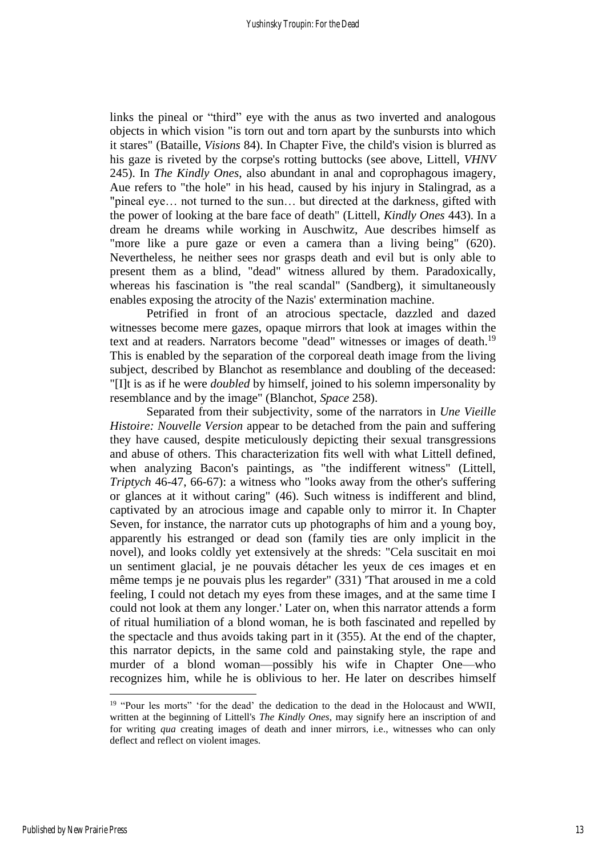links the pineal or "third" eye with the anus as two inverted and analogous objects in which vision "is torn out and torn apart by the sunbursts into which it stares" (Bataille, *Visions* 84). In Chapter Five, the child's vision is blurred as his gaze is riveted by the corpse's rotting buttocks (see above, Littell, *VHNV* 245). In *The Kindly Ones*, also abundant in anal and coprophagous imagery, Aue refers to "the hole" in his head, caused by his injury in Stalingrad, as a "pineal eye… not turned to the sun… but directed at the darkness, gifted with the power of looking at the bare face of death" (Littell, *Kindly Ones* 443). In a dream he dreams while working in Auschwitz, Aue describes himself as "more like a pure gaze or even a camera than a living being" (620). Nevertheless, he neither sees nor grasps death and evil but is only able to present them as a blind, "dead" witness allured by them. Paradoxically, whereas his fascination is "the real scandal" (Sandberg), it simultaneously enables exposing the atrocity of the Nazis' extermination machine.

Petrified in front of an atrocious spectacle, dazzled and dazed witnesses become mere gazes, opaque mirrors that look at images within the text and at readers. Narrators become "dead" witnesses or images of death.<sup>19</sup> This is enabled by the separation of the corporeal death image from the living subject, described by Blanchot as resemblance and doubling of the deceased: "[I]t is as if he were *doubled* by himself, joined to his solemn impersonality by resemblance and by the image" (Blanchot, *Space* 258).

Separated from their subjectivity, some of the narrators in *Une Vieille Histoire: Nouvelle Version* appear to be detached from the pain and suffering they have caused, despite meticulously depicting their sexual transgressions and abuse of others. This characterization fits well with what Littell defined, when analyzing Bacon's paintings, as "the indifferent witness" (Littell, *Triptych* 46-47, 66-67): a witness who "looks away from the other's suffering or glances at it without caring" (46). Such witness is indifferent and blind, captivated by an atrocious image and capable only to mirror it. In Chapter Seven, for instance, the narrator cuts up photographs of him and a young boy, apparently his estranged or dead son (family ties are only implicit in the novel), and looks coldly yet extensively at the shreds: "Cela suscitait en moi un sentiment glacial, je ne pouvais détacher les yeux de ces images et en même temps je ne pouvais plus les regarder" (331) 'That aroused in me a cold feeling, I could not detach my eyes from these images, and at the same time I could not look at them any longer.' Later on, when this narrator attends a form of ritual humiliation of a blond woman, he is both fascinated and repelled by the spectacle and thus avoids taking part in it (355). At the end of the chapter, this narrator depicts, in the same cold and painstaking style, the rape and murder of a blond woman—possibly his wife in Chapter One—who recognizes him, while he is oblivious to her. He later on describes himself

<sup>&</sup>lt;sup>19</sup> "Pour les morts" 'for the dead' the dedication to the dead in the Holocaust and WWII, written at the beginning of Littell's *The Kindly Ones*, may signify here an inscription of and for writing *qua* creating images of death and inner mirrors, i.e., witnesses who can only deflect and reflect on violent images.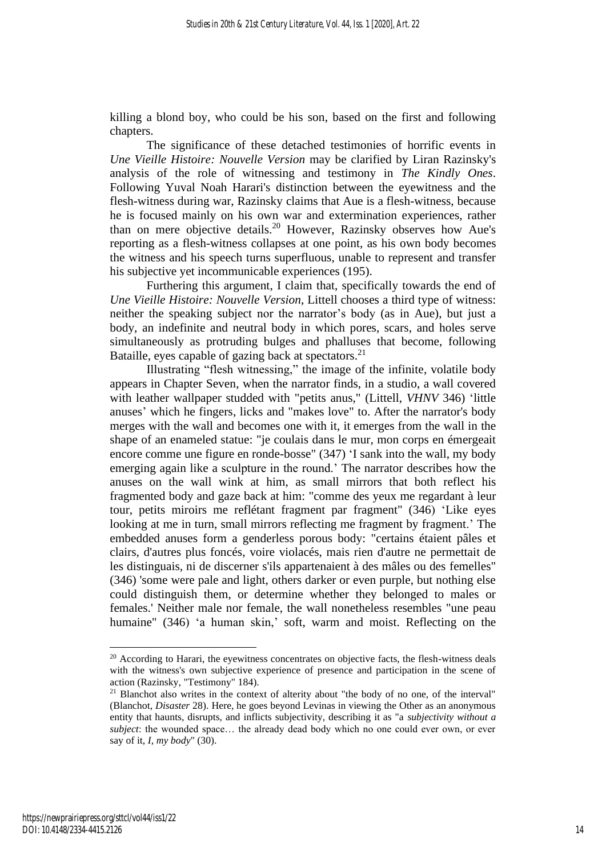killing a blond boy, who could be his son, based on the first and following chapters.

The significance of these detached testimonies of horrific events in *Une Vieille Histoire: Nouvelle Version* may be clarified by Liran Razinsky's analysis of the role of witnessing and testimony in *The Kindly Ones*. Following Yuval Noah Harari's distinction between the eyewitness and the flesh-witness during war, Razinsky claims that Aue is a flesh-witness, because he is focused mainly on his own war and extermination experiences, rather than on mere objective details.<sup>20</sup> However, Razinsky observes how Aue's reporting as a flesh-witness collapses at one point, as his own body becomes the witness and his speech turns superfluous, unable to represent and transfer his subjective yet incommunicable experiences (195).

Furthering this argument, I claim that, specifically towards the end of *Une Vieille Histoire: Nouvelle Version*, Littell chooses a third type of witness: neither the speaking subject nor the narrator's body (as in Aue), but just a body, an indefinite and neutral body in which pores, scars, and holes serve simultaneously as protruding bulges and phalluses that become, following Bataille, eyes capable of gazing back at spectators.<sup>21</sup>

Illustrating "flesh witnessing," the image of the infinite, volatile body appears in Chapter Seven, when the narrator finds, in a studio, a wall covered with leather wallpaper studded with "petits anus," (Littell, *VHNV* 346) 'little anuses' which he fingers, licks and "makes love" to. After the narrator's body merges with the wall and becomes one with it, it emerges from the wall in the shape of an enameled statue: "je coulais dans le mur, mon corps en émergeait encore comme une figure en ronde-bosse" (347) 'I sank into the wall, my body emerging again like a sculpture in the round.' The narrator describes how the anuses on the wall wink at him, as small mirrors that both reflect his fragmented body and gaze back at him: "comme des yeux me regardant à leur tour, petits miroirs me reflétant fragment par fragment" (346) 'Like eyes looking at me in turn, small mirrors reflecting me fragment by fragment.' The embedded anuses form a genderless porous body: "certains étaient pâles et clairs, d'autres plus foncés, voire violacés, mais rien d'autre ne permettait de les distinguais, ni de discerner s'ils appartenaient à des mâles ou des femelles" (346) 'some were pale and light, others darker or even purple, but nothing else could distinguish them, or determine whether they belonged to males or females.' Neither male nor female, the wall nonetheless resembles "une peau humaine" (346) 'a human skin,' soft, warm and moist. Reflecting on the

 $20$  According to Harari, the eyewitness concentrates on objective facts, the flesh-witness deals with the witness's own subjective experience of presence and participation in the scene of action (Razinsky, "Testimony" 184).

<sup>&</sup>lt;sup>21</sup> Blanchot also writes in the context of alterity about "the body of no one, of the interval" (Blanchot, *Disaster* 28). Here, he goes beyond Levinas in viewing the Other as an anonymous entity that haunts, disrupts, and inflicts subjectivity, describing it as "a *subjectivity without a subject*: the wounded space… the already dead body which no one could ever own, or ever say of it, *I, my body*" (30).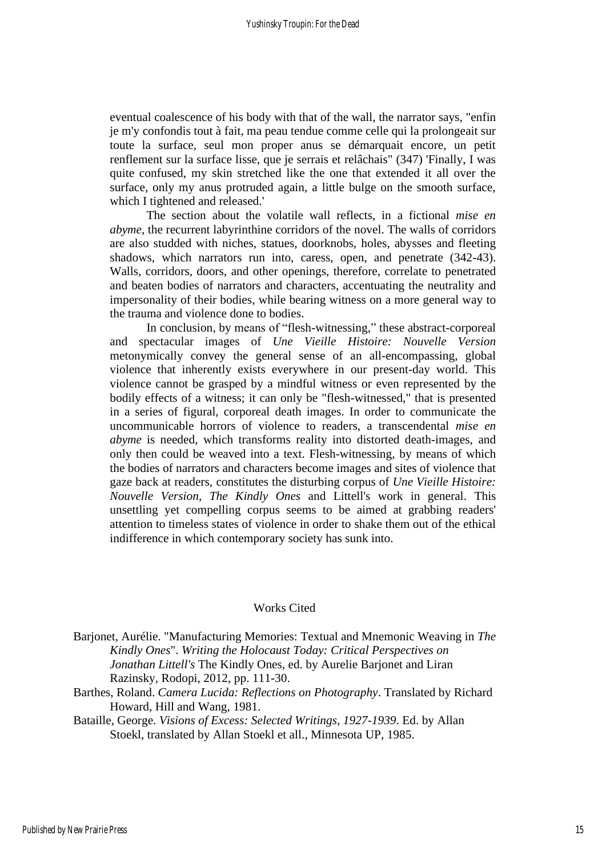eventual coalescence of his body with that of the wall, the narrator says, "enfin je m'y confondis tout à fait, ma peau tendue comme celle qui la prolongeait sur toute la surface, seul mon proper anus se démarquait encore, un petit renflement sur la surface lisse, que je serrais et relâchais" (347) 'Finally, I was quite confused, my skin stretched like the one that extended it all over the surface, only my anus protruded again, a little bulge on the smooth surface, which I tightened and released.'

The section about the volatile wall reflects, in a fictional *mise en abyme,* the recurrent labyrinthine corridors of the novel. The walls of corridors are also studded with niches, statues, doorknobs, holes, abysses and fleeting shadows, which narrators run into, caress, open, and penetrate (342-43). Walls, corridors, doors, and other openings, therefore, correlate to penetrated and beaten bodies of narrators and characters, accentuating the neutrality and impersonality of their bodies, while bearing witness on a more general way to the trauma and violence done to bodies.

In conclusion, by means of "flesh-witnessing," these abstract-corporeal and spectacular images of *Une Vieille Histoire: Nouvelle Version* metonymically convey the general sense of an all-encompassing, global violence that inherently exists everywhere in our present-day world. This violence cannot be grasped by a mindful witness or even represented by the bodily effects of a witness; it can only be "flesh-witnessed," that is presented in a series of figural, corporeal death images. In order to communicate the uncommunicable horrors of violence to readers, a transcendental *mise en abyme* is needed, which transforms reality into distorted death-images, and only then could be weaved into a text. Flesh-witnessing, by means of which the bodies of narrators and characters become images and sites of violence that gaze back at readers, constitutes the disturbing corpus of *Une Vieille Histoire: Nouvelle Version*, *The Kindly Ones* and Littell's work in general. This unsettling yet compelling corpus seems to be aimed at grabbing readers' attention to timeless states of violence in order to shake them out of the ethical indifference in which contemporary society has sunk into.

#### Works Cited

Barjonet, Aurélie. "Manufacturing Memories: Textual and Mnemonic Weaving in *The Kindly Ones*". *Writing the Holocaust Today: Critical Perspectives on Jonathan Littell's* The Kindly Ones, ed. by Aurelie Barjonet and Liran Razinsky, Rodopi, 2012, pp. 111-30.

Barthes, Roland. *Camera Lucida: Reflections on Photography*. Translated by Richard Howard, Hill and Wang, 1981.

Bataille, George. *Visions of Excess: Selected Writings, 1927-1939*. Ed. by Allan Stoekl, translated by Allan Stoekl et all., Minnesota UP, 1985.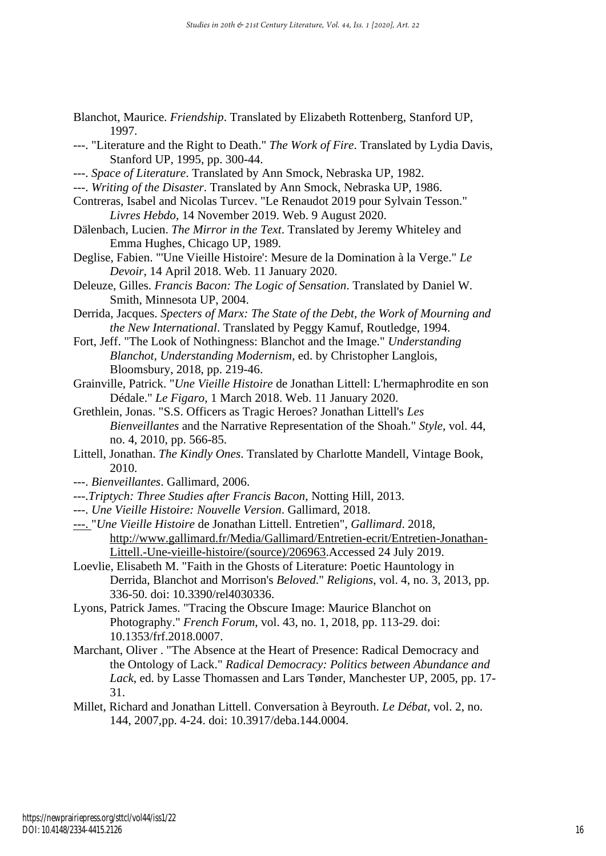- Blanchot, Maurice. *Friendship*. Translated by Elizabeth Rottenberg, Stanford UP, 1997.
- ---. "Literature and the Right to Death." *The Work of Fire*. Translated by Lydia Davis, Stanford UP, 1995, pp. 300-44.
- ---. *Space of Literature*. Translated by Ann Smock, Nebraska UP, 1982.
- ---. *Writing of the Disaster*. Translated by Ann Smock, Nebraska UP, 1986.
- Contreras, Isabel and Nicolas Turcev. "Le Renaudot 2019 pour Sylvain Tesson." *Livres Hebdo*, 14 November 2019. Web. 9 August 2020.
- Dälenbach, Lucien. *The Mirror in the Text*. Translated by Jeremy Whiteley and Emma Hughes, Chicago UP, 1989.
- Deglise, Fabien. "'Une Vieille Histoire': Mesure de la Domination à la Verge." *Le Devoir*, 14 April 2018. Web. 11 January 2020.
- Deleuze, Gilles. *Francis Bacon: The Logic of Sensation*. Translated by Daniel W. Smith, Minnesota UP, 2004.
- Derrida, Jacques. *Specters of Marx: The State of the Debt, the Work of Mourning and the New International*. Translated by Peggy Kamuf, Routledge, 1994.
- Fort, Jeff. "The Look of Nothingness: Blanchot and the Image." *Understanding Blanchot, Understanding Modernism*, ed. by Christopher Langlois, Bloomsbury, 2018, pp. 219-46.
- Grainville, Patrick. "*Une Vieille Histoire* de Jonathan Littell: L'hermaphrodite en son Dédale." *Le Figaro*, 1 March 2018. Web. 11 January 2020.
- Grethlein, Jonas. "S.S. Officers as Tragic Heroes? Jonathan Littell's *Les Bienveillantes* and the Narrative Representation of the Shoah." *Style*, vol. 44, no. 4, 2010, pp. 566-85.
- Littell, Jonathan. *The Kindly Ones*. Translated by Charlotte Mandell, Vintage Book, 2010.
- ---. *Bienveillantes*. Gallimard, 2006.
- ---.*Triptych: Three Studies after Francis Bacon*, Notting Hill, 2013.
- ---. *Une Vieille Histoire: Nouvelle Version*. Gallimard, 2018.
- ---. "*Une Vieille Histoire* de Jonathan Littell. Entretien", *Gallimard*. 2018, [http://www.gallimard.fr/Media/Gallimard/Entretien-ecrit/Entretien-Jonathan-](http://www.gallimard.fr/Media/Gallimard/Entretien-ecrit/Entretien-Jonathan-Littell.-Une-vieille-histoire/(source)/206963)[Littell.-Une-vieille-histoire/\(source\)/206963.](http://www.gallimard.fr/Media/Gallimard/Entretien-ecrit/Entretien-Jonathan-Littell.-Une-vieille-histoire/(source)/206963)Accessed 24 July 2019.
- Loevlie, Elisabeth M. "Faith in the Ghosts of Literature: Poetic Hauntology in Derrida, Blanchot and Morrison's *Beloved*." *Religions*, vol. 4, no. 3, 2013, pp. 336-50. doi: 10.3390/rel4030336.
- Lyons, Patrick James. "Tracing the Obscure Image: Maurice Blanchot on Photography." *French Forum*, vol. 43, no. 1, 2018, pp. 113-29. [doi:](http://doi.org/10.1353/frf.2018.0007)  [10.1353/frf.2018.0007.](http://doi.org/10.1353/frf.2018.0007)
- Marchant, Oliver . "The Absence at the Heart of Presence: Radical Democracy and the Ontology of Lack." *Radical Democracy: Politics between Abundance and Lack*, ed. by Lasse Thomassen and Lars Tønder, Manchester UP, 2005, pp. 17- 31.
- Millet, Richard and Jonathan Littell. Conversation à Beyrouth. *Le Débat*, vol. 2, no. 144, 2007,pp. 4-24. doi: 10.3917/deba.144.0004.